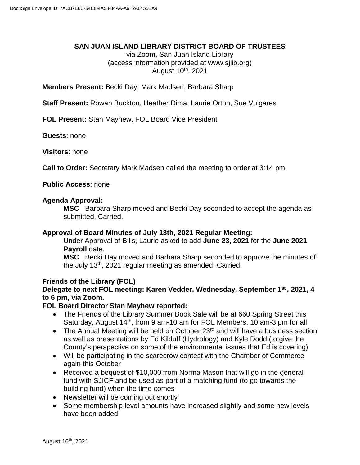## **SAN JUAN ISLAND LIBRARY DISTRICT BOARD OF TRUSTEES**

via Zoom, San Juan Island Library (access information provided at www.sjlib.org) August 10th, 2021

**Members Present:** Becki Day, Mark Madsen, Barbara Sharp

**Staff Present:** Rowan Buckton, Heather Dima, Laurie Orton, Sue Vulgares

**FOL Present:** Stan Mayhew, FOL Board Vice President

**Guests**: none

**Visitors**: none

**Call to Order:** Secretary Mark Madsen called the meeting to order at 3:14 pm.

**Public Access**: none

#### **Agenda Approval:**

**MSC** Barbara Sharp moved and Becki Day seconded to accept the agenda as submitted. Carried.

### **Approval of Board Minutes of July 13th, 2021 Regular Meeting:**

Under Approval of Bills, Laurie asked to add **June 23, 2021** for the **June 2021 Payroll** date.

**MSC** Becki Day moved and Barbara Sharp seconded to approve the minutes of the July 13<sup>th</sup>, 2021 regular meeting as amended. Carried.

### **Friends of the Library (FOL)**

# **Delegate to next FOL meeting: Karen Vedder, Wednesday, September 1st , 2021, 4 to 6 pm, via Zoom.**

### **FOL Board Director Stan Mayhew reported:**

- The Friends of the Library Summer Book Sale will be at 660 Spring Street this Saturday, August 14<sup>th</sup>, from 9 am-10 am for FOL Members, 10 am-3 pm for all
- The Annual Meeting will be held on October 23<sup>rd</sup> and will have a business section as well as presentations by Ed Kilduff (Hydrology) and Kyle Dodd (to give the County's perspective on some of the environmental issues that Ed is covering)
- Will be participating in the scarecrow contest with the Chamber of Commerce again this October
- Received a bequest of \$10,000 from Norma Mason that will go in the general fund with SJICF and be used as part of a matching fund (to go towards the building fund) when the time comes
- Newsletter will be coming out shortly
- Some membership level amounts have increased slightly and some new levels have been added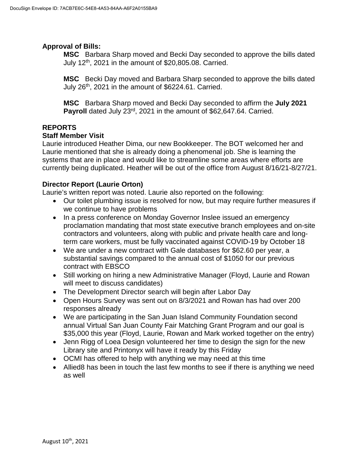# **Approval of Bills:**

**MSC** Barbara Sharp moved and Becki Day seconded to approve the bills dated July  $12<sup>th</sup>$ , 2021 in the amount of \$20,805.08. Carried.

**MSC** Becki Day moved and Barbara Sharp seconded to approve the bills dated July  $26<sup>th</sup>$ , 2021 in the amount of \$6224.61. Carried.

**MSC** Barbara Sharp moved and Becki Day seconded to affirm the **July 2021 Payroll** dated July 23rd, 2021 in the amount of \$62,647.64. Carried.

# **REPORTS**

### **Staff Member Visit**

Laurie introduced Heather Dima, our new Bookkeeper. The BOT welcomed her and Laurie mentioned that she is already doing a phenomenal job. She is learning the systems that are in place and would like to streamline some areas where efforts are currently being duplicated. Heather will be out of the office from August 8/16/21-8/27/21.

## **Director Report (Laurie Orton)**

Laurie's written report was noted. Laurie also reported on the following:

- Our toilet plumbing issue is resolved for now, but may require further measures if we continue to have problems
- In a press conference on Monday Governor Inslee issued an emergency proclamation mandating that most state executive branch employees and on-site contractors and volunteers, along with public and private health care and longterm care workers, must be fully vaccinated against COVID-19 by October 18
- We are under a new contract with Gale databases for \$62.60 per year, a substantial savings compared to the annual cost of \$1050 for our previous contract with EBSCO
- Still working on hiring a new Administrative Manager (Floyd, Laurie and Rowan will meet to discuss candidates)
- The Development Director search will begin after Labor Day
- Open Hours Survey was sent out on 8/3/2021 and Rowan has had over 200 responses already
- We are participating in the San Juan Island Community Foundation second annual Virtual San Juan County Fair Matching Grant Program and our goal is \$35,000 this year (Floyd, Laurie, Rowan and Mark worked together on the entry)
- Jenn Rigg of Loea Design volunteered her time to design the sign for the new Library site and Printonyx will have it ready by this Friday
- OCMI has offered to help with anything we may need at this time
- Allied8 has been in touch the last few months to see if there is anything we need as well